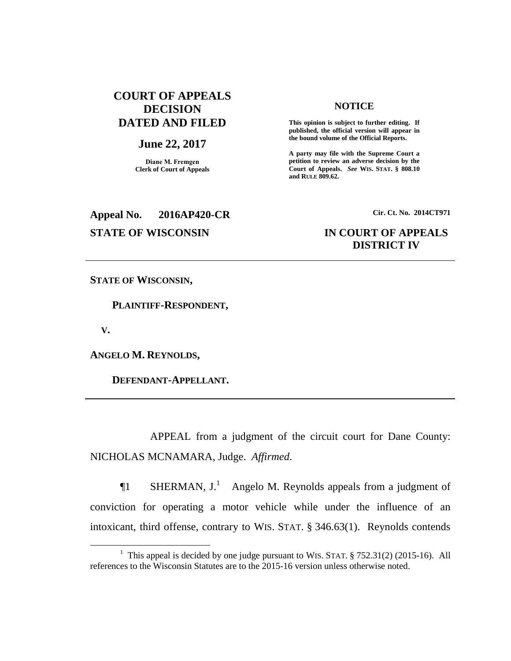### **COURT OF APPEALS DECISION DATED AND FILED**

### **June 22, 2017**

**Diane M. Fremgen Clerk of Court of Appeals**

### **NOTICE**

**This opinion is subject to further editing. If published, the official version will appear in the bound volume of the Official Reports.** 

**A party may file with the Supreme Court a petition to review an adverse decision by the Court of Appeals.** *See* **WIS. STAT. § 808.10 and RULE 809.62.** 

## **Appeal No. 2016AP420-CR Cir. Ct. No. 2014CT971 STATE OF WISCONSIN IN COURT OF APPEALS**

# **DISTRICT IV**

**STATE OF WISCONSIN,**

 **PLAINTIFF-RESPONDENT,**

 **V.**

 $\overline{a}$ 

**ANGELO M. REYNOLDS,**

 **DEFENDANT-APPELLANT.**

APPEAL from a judgment of the circuit court for Dane County: NICHOLAS MCNAMARA, Judge. *Affirmed*.

**The SHERMAN, J.**<sup>1</sup> Angelo M. Reynolds appeals from a judgment of conviction for operating a motor vehicle while under the influence of an intoxicant, third offense, contrary to WIS. STAT. § 346.63(1). Reynolds contends

<sup>&</sup>lt;sup>1</sup> This appeal is decided by one judge pursuant to WIS. STAT.  $\S$  752.31(2) (2015-16). All references to the Wisconsin Statutes are to the 2015-16 version unless otherwise noted.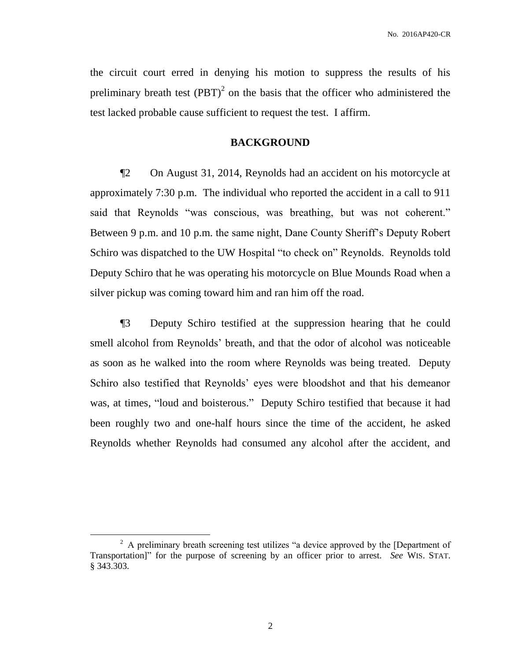the circuit court erred in denying his motion to suppress the results of his preliminary breath test  $(PBT)^2$  on the basis that the officer who administered the test lacked probable cause sufficient to request the test. I affirm.

### **BACKGROUND**

¶2 On August 31, 2014, Reynolds had an accident on his motorcycle at approximately 7:30 p.m. The individual who reported the accident in a call to 911 said that Reynolds "was conscious, was breathing, but was not coherent." Between 9 p.m. and 10 p.m. the same night, Dane County Sheriff's Deputy Robert Schiro was dispatched to the UW Hospital "to check on" Reynolds. Reynolds told Deputy Schiro that he was operating his motorcycle on Blue Mounds Road when a silver pickup was coming toward him and ran him off the road.

¶3 Deputy Schiro testified at the suppression hearing that he could smell alcohol from Reynolds' breath, and that the odor of alcohol was noticeable as soon as he walked into the room where Reynolds was being treated. Deputy Schiro also testified that Reynolds' eyes were bloodshot and that his demeanor was, at times, "loud and boisterous." Deputy Schiro testified that because it had been roughly two and one-half hours since the time of the accident, he asked Reynolds whether Reynolds had consumed any alcohol after the accident, and

 $\overline{a}$ 

 $2$  A preliminary breath screening test utilizes "a device approved by the [Department of Transportation]" for the purpose of screening by an officer prior to arrest. *See* WIS. STAT. § 343.303.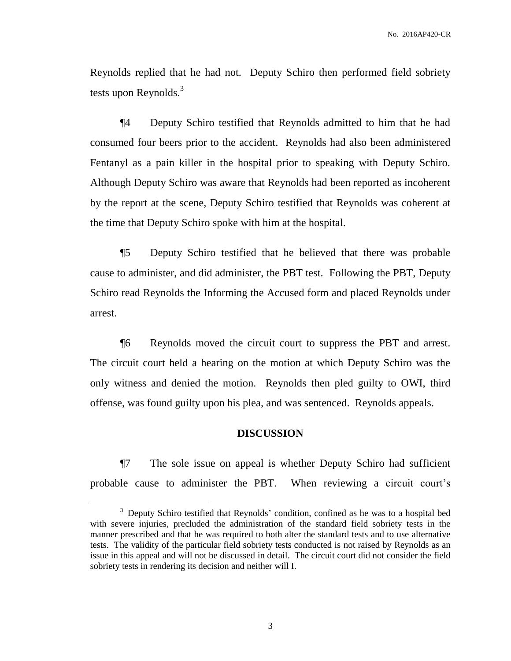Reynolds replied that he had not. Deputy Schiro then performed field sobriety tests upon Reynolds.<sup>3</sup>

¶4 Deputy Schiro testified that Reynolds admitted to him that he had consumed four beers prior to the accident. Reynolds had also been administered Fentanyl as a pain killer in the hospital prior to speaking with Deputy Schiro. Although Deputy Schiro was aware that Reynolds had been reported as incoherent by the report at the scene, Deputy Schiro testified that Reynolds was coherent at the time that Deputy Schiro spoke with him at the hospital.

¶5 Deputy Schiro testified that he believed that there was probable cause to administer, and did administer, the PBT test. Following the PBT, Deputy Schiro read Reynolds the Informing the Accused form and placed Reynolds under arrest.

¶6 Reynolds moved the circuit court to suppress the PBT and arrest. The circuit court held a hearing on the motion at which Deputy Schiro was the only witness and denied the motion. Reynolds then pled guilty to OWI, third offense, was found guilty upon his plea, and was sentenced. Reynolds appeals.

### **DISCUSSION**

¶7 The sole issue on appeal is whether Deputy Schiro had sufficient probable cause to administer the PBT. When reviewing a circuit court's

 $\overline{a}$ 

<sup>&</sup>lt;sup>3</sup> Deputy Schiro testified that Reynolds' condition, confined as he was to a hospital bed with severe injuries, precluded the administration of the standard field sobriety tests in the manner prescribed and that he was required to both alter the standard tests and to use alternative tests. The validity of the particular field sobriety tests conducted is not raised by Reynolds as an issue in this appeal and will not be discussed in detail. The circuit court did not consider the field sobriety tests in rendering its decision and neither will I.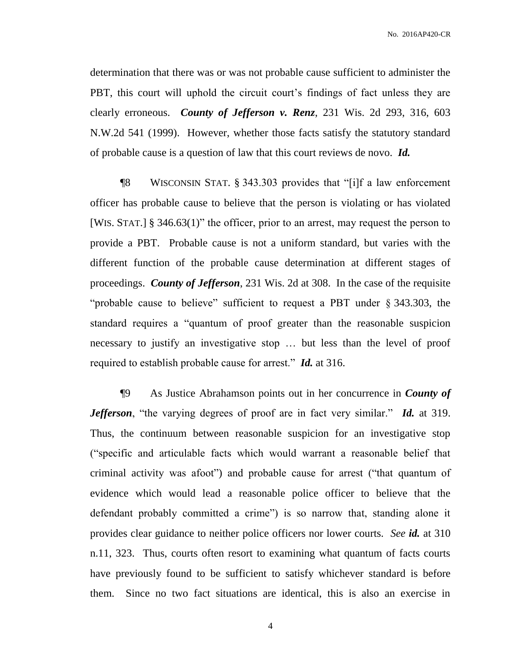No. 2016AP420-CR

determination that there was or was not probable cause sufficient to administer the PBT, this court will uphold the circuit court's findings of fact unless they are clearly erroneous. *County of Jefferson v. Renz*, 231 Wis. 2d 293, 316, 603 N.W.2d 541 (1999). However, whether those facts satisfy the statutory standard of probable cause is a question of law that this court reviews de novo. *Id.*

¶8 WISCONSIN STAT. § 343.303 provides that "[i]f a law enforcement officer has probable cause to believe that the person is violating or has violated [WIS. STAT.] § 346.63(1)" the officer, prior to an arrest, may request the person to provide a PBT. Probable cause is not a uniform standard, but varies with the different function of the probable cause determination at different stages of proceedings. *County of Jefferson*, 231 Wis. 2d at 308. In the case of the requisite "probable cause to believe" sufficient to request a PBT under § 343.303, the standard requires a "quantum of proof greater than the reasonable suspicion necessary to justify an investigative stop … but less than the level of proof required to establish probable cause for arrest." *Id.* at 316.

¶9 As Justice Abrahamson points out in her concurrence in *County of Jefferson*, "the varying degrees of proof are in fact very similar." *Id.* at 319. Thus, the continuum between reasonable suspicion for an investigative stop ("specific and articulable facts which would warrant a reasonable belief that criminal activity was afoot") and probable cause for arrest ("that quantum of evidence which would lead a reasonable police officer to believe that the defendant probably committed a crime") is so narrow that, standing alone it provides clear guidance to neither police officers nor lower courts. *See id.* at 310 n.11, 323. Thus, courts often resort to examining what quantum of facts courts have previously found to be sufficient to satisfy whichever standard is before them. Since no two fact situations are identical, this is also an exercise in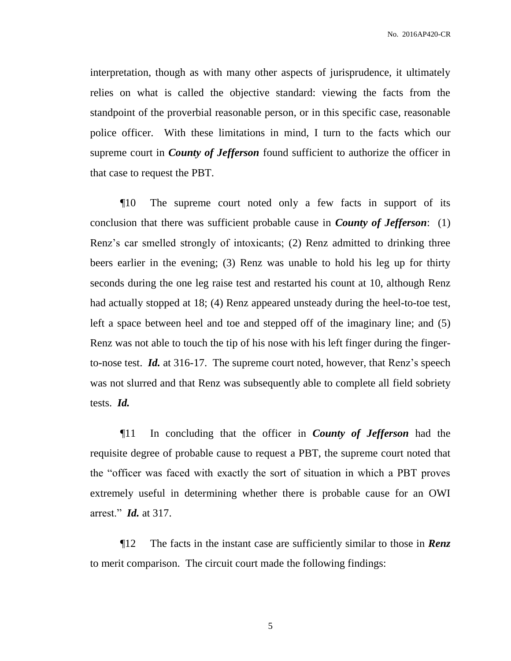interpretation, though as with many other aspects of jurisprudence, it ultimately relies on what is called the objective standard: viewing the facts from the standpoint of the proverbial reasonable person, or in this specific case, reasonable police officer. With these limitations in mind, I turn to the facts which our supreme court in *County of Jefferson* found sufficient to authorize the officer in that case to request the PBT.

¶10 The supreme court noted only a few facts in support of its conclusion that there was sufficient probable cause in *County of Jefferson*: (1) Renz's car smelled strongly of intoxicants; (2) Renz admitted to drinking three beers earlier in the evening; (3) Renz was unable to hold his leg up for thirty seconds during the one leg raise test and restarted his count at 10, although Renz had actually stopped at 18; (4) Renz appeared unsteady during the heel-to-toe test, left a space between heel and toe and stepped off of the imaginary line; and (5) Renz was not able to touch the tip of his nose with his left finger during the fingerto-nose test. *Id.* at 316-17. The supreme court noted, however, that Renz's speech was not slurred and that Renz was subsequently able to complete all field sobriety tests. *Id.*

¶11 In concluding that the officer in *County of Jefferson* had the requisite degree of probable cause to request a PBT, the supreme court noted that the "officer was faced with exactly the sort of situation in which a PBT proves extremely useful in determining whether there is probable cause for an OWI arrest." *Id.* at 317.

¶12 The facts in the instant case are sufficiently similar to those in *Renz* to merit comparison. The circuit court made the following findings: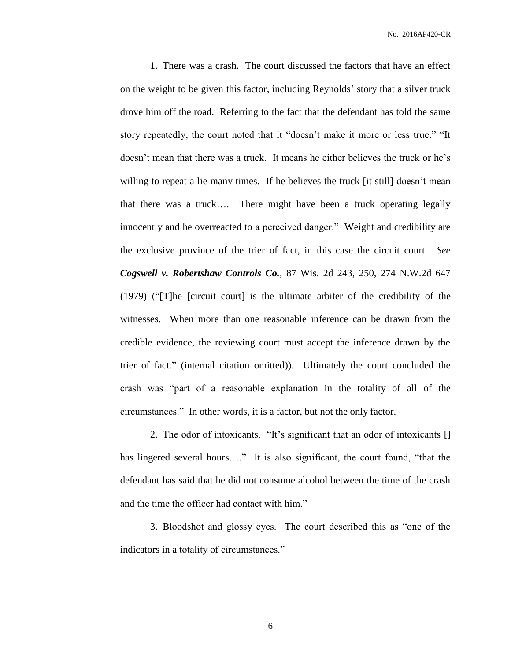No. 2016AP420-CR

1. There was a crash. The court discussed the factors that have an effect on the weight to be given this factor, including Reynolds' story that a silver truck drove him off the road. Referring to the fact that the defendant has told the same story repeatedly, the court noted that it "doesn't make it more or less true." "It doesn't mean that there was a truck. It means he either believes the truck or he's willing to repeat a lie many times. If he believes the truck [it still] doesn't mean that there was a truck…. There might have been a truck operating legally innocently and he overreacted to a perceived danger." Weight and credibility are the exclusive province of the trier of fact, in this case the circuit court. *See Cogswell v. Robertshaw Controls Co.*, 87 Wis. 2d 243, 250, 274 N.W.2d 647 (1979) ("[T]he [circuit court] is the ultimate arbiter of the credibility of the witnesses. When more than one reasonable inference can be drawn from the credible evidence, the reviewing court must accept the inference drawn by the trier of fact." (internal citation omitted)). Ultimately the court concluded the crash was "part of a reasonable explanation in the totality of all of the circumstances." In other words, it is a factor, but not the only factor.

2. The odor of intoxicants. "It's significant that an odor of intoxicants [] has lingered several hours...." It is also significant, the court found, "that the defendant has said that he did not consume alcohol between the time of the crash and the time the officer had contact with him."

3. Bloodshot and glossy eyes. The court described this as "one of the indicators in a totality of circumstances."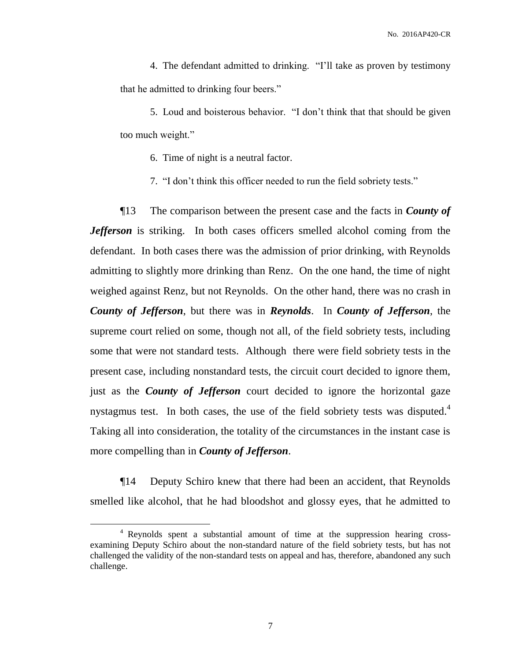4. The defendant admitted to drinking. "I'll take as proven by testimony that he admitted to drinking four beers."

5. Loud and boisterous behavior. "I don't think that that should be given too much weight."

6. Time of night is a neutral factor.

7. "I don't think this officer needed to run the field sobriety tests."

¶13 The comparison between the present case and the facts in *County of Jefferson* is striking. In both cases officers smelled alcohol coming from the defendant. In both cases there was the admission of prior drinking, with Reynolds admitting to slightly more drinking than Renz. On the one hand, the time of night weighed against Renz, but not Reynolds. On the other hand, there was no crash in *County of Jefferson*, but there was in *Reynolds*. In *County of Jefferson*, the supreme court relied on some, though not all, of the field sobriety tests, including some that were not standard tests. Although there were field sobriety tests in the present case, including nonstandard tests, the circuit court decided to ignore them, just as the *County of Jefferson* court decided to ignore the horizontal gaze nystagmus test. In both cases, the use of the field sobriety tests was disputed.<sup>4</sup> Taking all into consideration, the totality of the circumstances in the instant case is more compelling than in *County of Jefferson*.

¶14 Deputy Schiro knew that there had been an accident, that Reynolds smelled like alcohol, that he had bloodshot and glossy eyes, that he admitted to

 $\overline{a}$ 

<sup>4</sup> Reynolds spent a substantial amount of time at the suppression hearing crossexamining Deputy Schiro about the non-standard nature of the field sobriety tests, but has not challenged the validity of the non-standard tests on appeal and has, therefore, abandoned any such challenge.